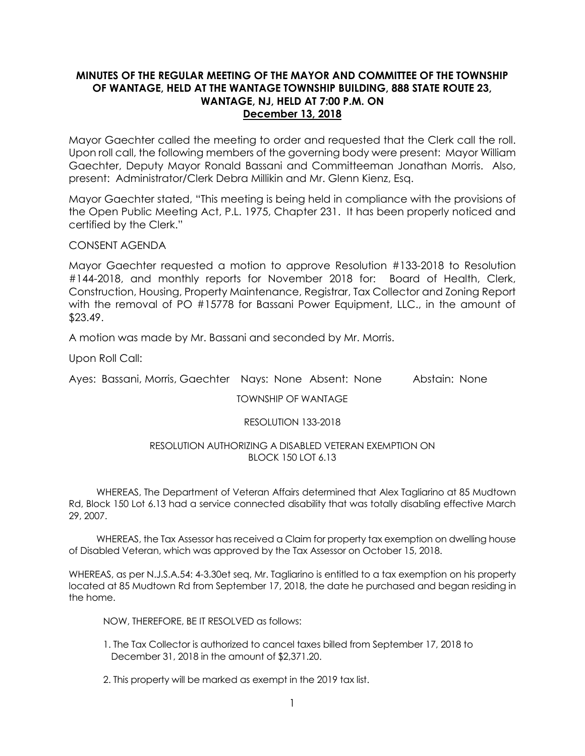## **MINUTES OF THE REGULAR MEETING OF THE MAYOR AND COMMITTEE OF THE TOWNSHIP OF WANTAGE, HELD AT THE WANTAGE TOWNSHIP BUILDING, 888 STATE ROUTE 23, WANTAGE, NJ, HELD AT 7:00 P.M. ON December 13, 2018**

Mayor Gaechter called the meeting to order and requested that the Clerk call the roll. Upon roll call, the following members of the governing body were present: Mayor William Gaechter, Deputy Mayor Ronald Bassani and Committeeman Jonathan Morris. Also, present: Administrator/Clerk Debra Millikin and Mr. Glenn Kienz, Esq.

Mayor Gaechter stated, "This meeting is being held in compliance with the provisions of the Open Public Meeting Act, P.L. 1975, Chapter 231. It has been properly noticed and certified by the Clerk."

CONSENT AGENDA

Mayor Gaechter requested a motion to approve Resolution #133-2018 to Resolution #144-2018, and monthly reports for November 2018 for: Board of Health, Clerk, Construction, Housing, Property Maintenance, Registrar, Tax Collector and Zoning Report with the removal of PO #15778 for Bassani Power Equipment, LLC., in the amount of \$23.49.

A motion was made by Mr. Bassani and seconded by Mr. Morris.

Upon Roll Call:

Ayes: Bassani, Morris, Gaechter Nays: None Absent: None Abstain: None

TOWNSHIP OF WANTAGE

## RESOLUTION 133-2018

### RESOLUTION AUTHORIZING A DISABLED VETERAN EXEMPTION ON BLOCK 150 LOT 6.13

 WHEREAS, The Department of Veteran Affairs determined that Alex Tagliarino at 85 Mudtown Rd, Block 150 Lot 6.13 had a service connected disability that was totally disabling effective March 29, 2007.

 WHEREAS, the Tax Assessor has received a Claim for property tax exemption on dwelling house of Disabled Veteran, which was approved by the Tax Assessor on October 15, 2018.

WHEREAS, as per N.J.S.A.54: 4-3.30et seq, Mr. Tagliarino is entitled to a tax exemption on his property located at 85 Mudtown Rd from September 17, 2018, the date he purchased and began residing in the home.

NOW, THEREFORE, BE IT RESOLVED as follows:

- 1. The Tax Collector is authorized to cancel taxes billed from September 17, 2018 to December 31, 2018 in the amount of \$2,371.20.
- 2. This property will be marked as exempt in the 2019 tax list.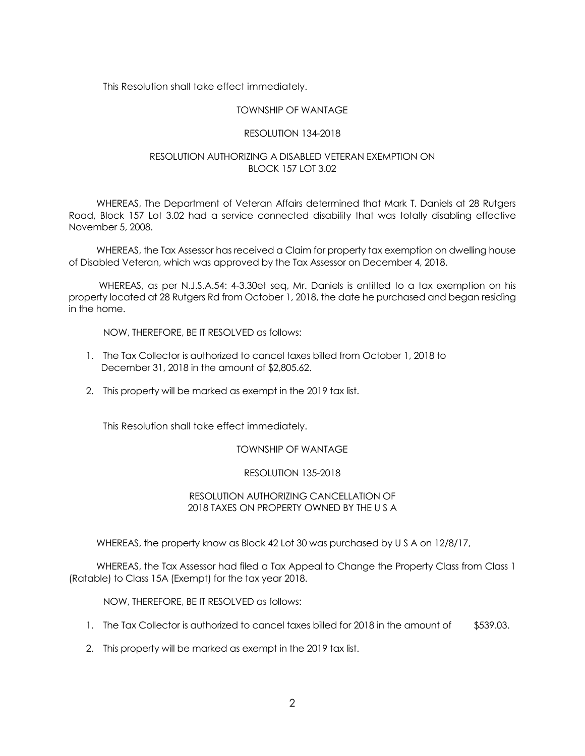This Resolution shall take effect immediately.

#### TOWNSHIP OF WANTAGE

#### RESOLUTION 134-2018

### RESOLUTION AUTHORIZING A DISABLED VETERAN EXEMPTION ON BLOCK 157 LOT 3.02

 WHEREAS, The Department of Veteran Affairs determined that Mark T. Daniels at 28 Rutgers Road, Block 157 Lot 3.02 had a service connected disability that was totally disabling effective November 5, 2008.

 WHEREAS, the Tax Assessor has received a Claim for property tax exemption on dwelling house of Disabled Veteran, which was approved by the Tax Assessor on December 4, 2018.

 WHEREAS, as per N.J.S.A.54: 4-3.30et seq, Mr. Daniels is entitled to a tax exemption on his property located at 28 Rutgers Rd from October 1, 2018, the date he purchased and began residing in the home.

NOW, THEREFORE, BE IT RESOLVED as follows:

- 1. The Tax Collector is authorized to cancel taxes billed from October 1, 2018 to December 31, 2018 in the amount of \$2,805.62.
- 2. This property will be marked as exempt in the 2019 tax list.

This Resolution shall take effect immediately.

#### TOWNSHIP OF WANTAGE

#### RESOLUTION 135-2018

### RESOLUTION AUTHORIZING CANCELLATION OF 2018 TAXES ON PROPERTY OWNED BY THE U S A

WHEREAS, the property know as Block 42 Lot 30 was purchased by U S A on 12/8/17,

 WHEREAS, the Tax Assessor had filed a Tax Appeal to Change the Property Class from Class 1 (Ratable) to Class 15A (Exempt) for the tax year 2018.

NOW, THEREFORE, BE IT RESOLVED as follows:

- 1. The Tax Collector is authorized to cancel taxes billed for 2018 in the amount of \$539.03.
- 2. This property will be marked as exempt in the 2019 tax list.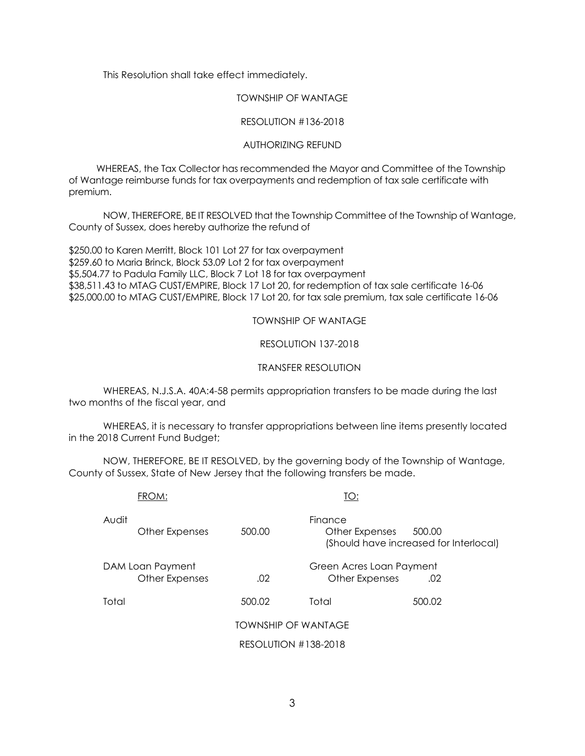This Resolution shall take effect immediately.

#### TOWNSHIP OF WANTAGE

### RESOLUTION #136-2018

### AUTHORIZING REFUND

 WHEREAS, the Tax Collector has recommended the Mayor and Committee of the Township of Wantage reimburse funds for tax overpayments and redemption of tax sale certificate with premium.

NOW, THEREFORE, BE IT RESOLVED that the Township Committee of the Township of Wantage, County of Sussex, does hereby authorize the refund of

\$250.00 to Karen Merritt, Block 101 Lot 27 for tax overpayment \$259.60 to Maria Brinck, Block 53.09 Lot 2 for tax overpayment \$5,504.77 to Padula Family LLC, Block 7 Lot 18 for tax overpayment \$38,511.43 to MTAG CUST/EMPIRE, Block 17 Lot 20, for redemption of tax sale certificate 16-06 \$25,000.00 to MTAG CUST/EMPIRE, Block 17 Lot 20, for tax sale premium, tax sale certificate 16-06

TOWNSHIP OF WANTAGE

RESOLUTION 137-2018

### TRANSFER RESOLUTION

WHEREAS, N.J.S.A. 40A:4-58 permits appropriation transfers to be made during the last two months of the fiscal year, and

WHEREAS, it is necessary to transfer appropriations between line items presently located in the 2018 Current Fund Budget;

NOW, THEREFORE, BE IT RESOLVED, by the governing body of the Township of Wantage, County of Sussex, State of New Jersey that the following transfers be made.

|       | FROM:                              |                            | TO:                                        |                                                  |
|-------|------------------------------------|----------------------------|--------------------------------------------|--------------------------------------------------|
| Audit | Other Expenses                     | 500.00                     | Finance<br>Other Expenses                  | 500.00<br>(Should have increased for Interlocal) |
|       | DAM Loan Payment<br>Other Expenses | .02                        | Green Acres Loan Payment<br>Other Expenses | .02                                              |
| Total |                                    | 500.02                     | Total                                      | 500.02                                           |
|       |                                    | <b>TOWNSHIP OF WANTAGE</b> |                                            |                                                  |
|       |                                    | RESOLUTION #138-2018       |                                            |                                                  |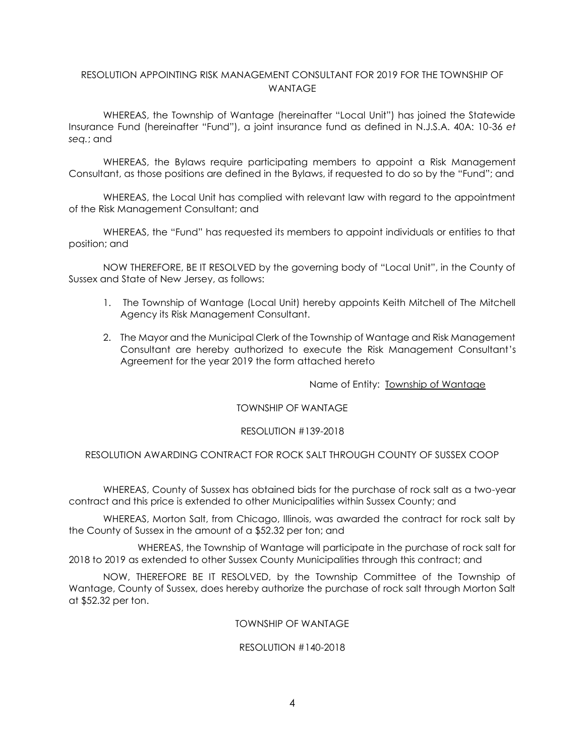## RESOLUTION APPOINTING RISK MANAGEMENT CONSULTANT FOR 2019 FOR THE TOWNSHIP OF WANTAGE

WHEREAS, the Township of Wantage (hereinafter "Local Unit") has joined the Statewide Insurance Fund (hereinafter "Fund"), a joint insurance fund as defined in N.J.S.A. 40A: 10-36 *et seq.*; and

WHEREAS, the Bylaws require participating members to appoint a Risk Management Consultant, as those positions are defined in the Bylaws, if requested to do so by the "Fund"; and

WHEREAS, the Local Unit has complied with relevant law with regard to the appointment of the Risk Management Consultant; and

WHEREAS, the "Fund" has requested its members to appoint individuals or entities to that position; and

NOW THEREFORE, BE IT RESOLVED by the governing body of "Local Unit", in the County of Sussex and State of New Jersey, as follows:

- 1. The Township of Wantage (Local Unit) hereby appoints Keith Mitchell of The Mitchell Agency its Risk Management Consultant.
- 2. The Mayor and the Municipal Clerk of the Township of Wantage and Risk Management Consultant are hereby authorized to execute the Risk Management Consultant's Agreement for the year 2019 the form attached hereto

Name of Entity: Township of Wantage

#### TOWNSHIP OF WANTAGE

#### RESOLUTION #139-2018

### RESOLUTION AWARDING CONTRACT FOR ROCK SALT THROUGH COUNTY OF SUSSEX COOP

WHEREAS, County of Sussex has obtained bids for the purchase of rock salt as a two-year contract and this price is extended to other Municipalities within Sussex County; and

WHEREAS, Morton Salt, from Chicago, Illinois, was awarded the contract for rock salt by the County of Sussex in the amount of a \$52.32 per ton; and

WHEREAS, the Township of Wantage will participate in the purchase of rock salt for 2018 to 2019 as extended to other Sussex County Municipalities through this contract; and

NOW, THEREFORE BE IT RESOLVED, by the Township Committee of the Township of Wantage, County of Sussex, does hereby authorize the purchase of rock salt through Morton Salt at \$52.32 per ton.

#### TOWNSHIP OF WANTAGE

#### RESOLUTION #140-2018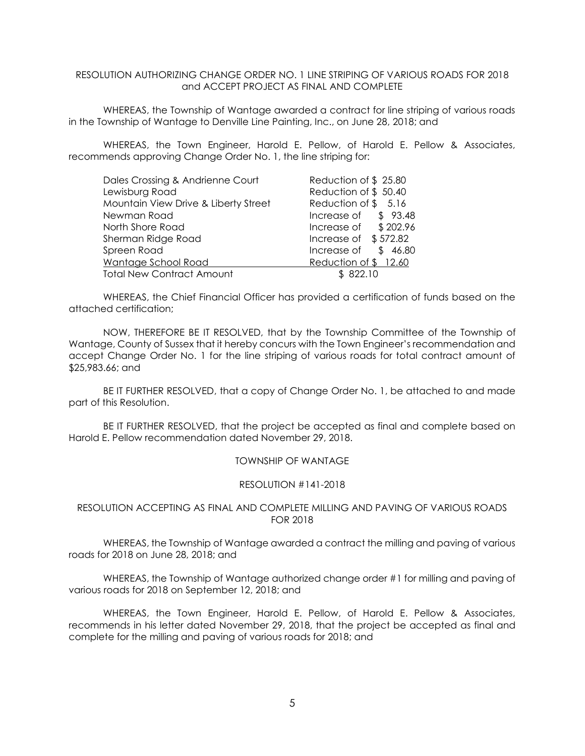### RESOLUTION AUTHORIZING CHANGE ORDER NO. 1 LINE STRIPING OF VARIOUS ROADS FOR 2018 and ACCEPT PROJECT AS FINAL AND COMPLETE

WHEREAS, the Township of Wantage awarded a contract for line striping of various roads in the Township of Wantage to Denville Line Painting, Inc., on June 28, 2018; and

WHEREAS, the Town Engineer, Harold E. Pellow, of Harold E. Pellow & Associates, recommends approving Change Order No. 1, the line striping for:

| Dales Crossing & Andrienne Court     | Reduction of \$25.80   |
|--------------------------------------|------------------------|
| Lewisburg Road                       | Reduction of \$50.40   |
| Mountain View Drive & Liberty Street | Reduction of \$5.16    |
| Newman Road                          | Increase of $$93.48$   |
| North Shore Road                     | Increase of $$202.96$  |
| Sherman Ridge Road                   | Increase of $$572.82$  |
| Spreen Road                          | Increase of<br>\$46.80 |
| Wantage School Road                  | Reduction of \$12.60   |
| <b>Total New Contract Amount</b>     | \$822.10               |

WHEREAS, the Chief Financial Officer has provided a certification of funds based on the attached certification;

NOW, THEREFORE BE IT RESOLVED, that by the Township Committee of the Township of Wantage, County of Sussex that it hereby concurs with the Town Engineer's recommendation and accept Change Order No. 1 for the line striping of various roads for total contract amount of \$25,983.66; and

BE IT FURTHER RESOLVED, that a copy of Change Order No. 1, be attached to and made part of this Resolution.

BE IT FURTHER RESOLVED, that the project be accepted as final and complete based on Harold E. Pellow recommendation dated November 29, 2018.

#### TOWNSHIP OF WANTAGE

#### RESOLUTION #141-2018

#### RESOLUTION ACCEPTING AS FINAL AND COMPLETE MILLING AND PAVING OF VARIOUS ROADS FOR 2018

WHEREAS, the Township of Wantage awarded a contract the milling and paving of various roads for 2018 on June 28, 2018; and

WHEREAS, the Township of Wantage authorized change order #1 for milling and paving of various roads for 2018 on September 12, 2018; and

WHEREAS, the Town Engineer, Harold E. Pellow, of Harold E. Pellow & Associates, recommends in his letter dated November 29, 2018, that the project be accepted as final and complete for the milling and paving of various roads for 2018; and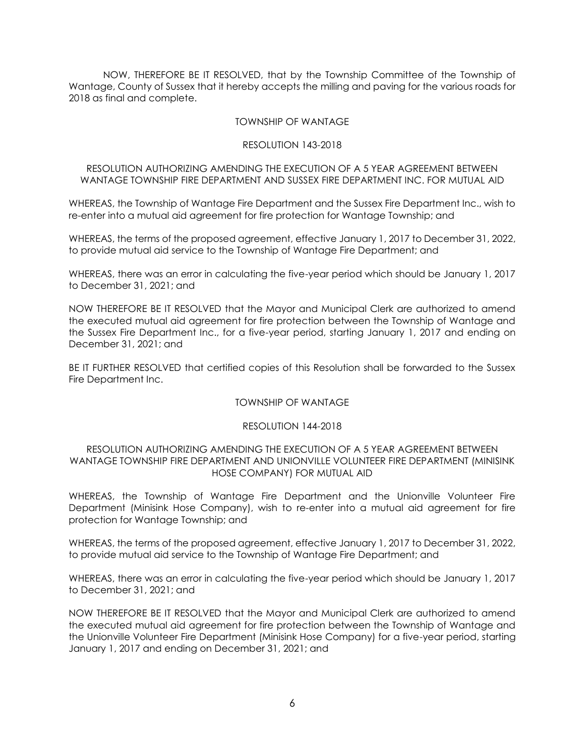NOW, THEREFORE BE IT RESOLVED, that by the Township Committee of the Township of Wantage, County of Sussex that it hereby accepts the milling and paving for the various roads for 2018 as final and complete.

### TOWNSHIP OF WANTAGE

#### RESOLUTION 143-2018

## RESOLUTION AUTHORIZING AMENDING THE EXECUTION OF A 5 YEAR AGREEMENT BETWEEN WANTAGE TOWNSHIP FIRE DEPARTMENT AND SUSSEX FIRE DEPARTMENT INC. FOR MUTUAL AID

WHEREAS, the Township of Wantage Fire Department and the Sussex Fire Department Inc., wish to re-enter into a mutual aid agreement for fire protection for Wantage Township; and

WHEREAS, the terms of the proposed agreement, effective January 1, 2017 to December 31, 2022, to provide mutual aid service to the Township of Wantage Fire Department; and

WHEREAS, there was an error in calculating the five-year period which should be January 1, 2017 to December 31, 2021; and

NOW THEREFORE BE IT RESOLVED that the Mayor and Municipal Clerk are authorized to amend the executed mutual aid agreement for fire protection between the Township of Wantage and the Sussex Fire Department Inc., for a five-year period, starting January 1, 2017 and ending on December 31, 2021; and

BE IT FURTHER RESOLVED that certified copies of this Resolution shall be forwarded to the Sussex Fire Department Inc.

#### TOWNSHIP OF WANTAGE

#### RESOLUTION 144-2018

#### RESOLUTION AUTHORIZING AMENDING THE EXECUTION OF A 5 YEAR AGREEMENT BETWEEN WANTAGE TOWNSHIP FIRE DEPARTMENT AND UNIONVILLE VOLUNTEER FIRE DEPARTMENT (MINISINK HOSE COMPANY) FOR MUTUAL AID

WHEREAS, the Township of Wantage Fire Department and the Unionville Volunteer Fire Department (Minisink Hose Company), wish to re-enter into a mutual aid agreement for fire protection for Wantage Township; and

WHEREAS, the terms of the proposed agreement, effective January 1, 2017 to December 31, 2022, to provide mutual aid service to the Township of Wantage Fire Department; and

WHEREAS, there was an error in calculating the five-year period which should be January 1, 2017 to December 31, 2021; and

NOW THEREFORE BE IT RESOLVED that the Mayor and Municipal Clerk are authorized to amend the executed mutual aid agreement for fire protection between the Township of Wantage and the Unionville Volunteer Fire Department (Minisink Hose Company) for a five-year period, starting January 1, 2017 and ending on December 31, 2021; and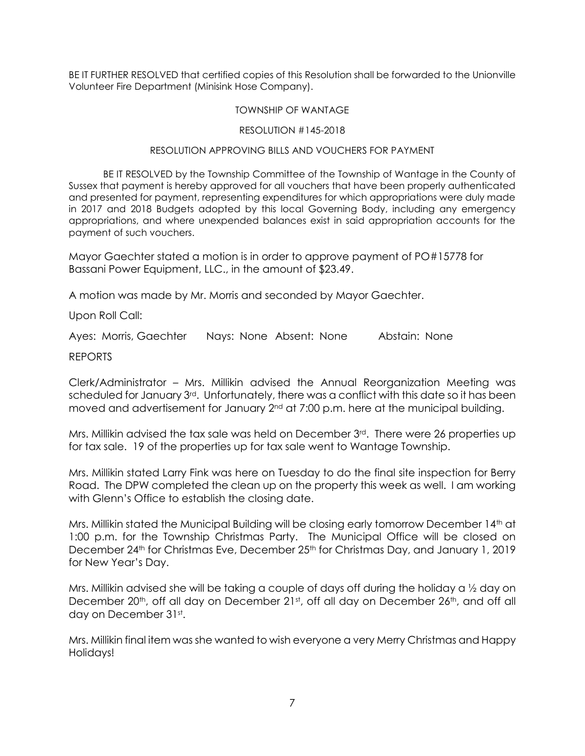BE IT FURTHER RESOLVED that certified copies of this Resolution shall be forwarded to the Unionville Volunteer Fire Department (Minisink Hose Company).

## TOWNSHIP OF WANTAGE

## RESOLUTION #145-2018

## RESOLUTION APPROVING BILLS AND VOUCHERS FOR PAYMENT

BE IT RESOLVED by the Township Committee of the Township of Wantage in the County of Sussex that payment is hereby approved for all vouchers that have been properly authenticated and presented for payment, representing expenditures for which appropriations were duly made in 2017 and 2018 Budgets adopted by this local Governing Body, including any emergency appropriations, and where unexpended balances exist in said appropriation accounts for the payment of such vouchers.

Mayor Gaechter stated a motion is in order to approve payment of PO#15778 for Bassani Power Equipment, LLC., in the amount of \$23.49.

A motion was made by Mr. Morris and seconded by Mayor Gaechter.

Upon Roll Call:

Ayes: Morris, Gaechter Nays: None Absent: None Abstain: None

REPORTS

Clerk/Administrator – Mrs. Millikin advised the Annual Reorganization Meeting was scheduled for January 3<sup>rd</sup>. Unfortunately, there was a conflict with this date so it has been moved and advertisement for January  $2<sup>nd</sup>$  at 7:00 p.m. here at the municipal building.

Mrs. Millikin advised the tax sale was held on December 3rd. There were 26 properties up for tax sale. 19 of the properties up for tax sale went to Wantage Township.

Mrs. Millikin stated Larry Fink was here on Tuesday to do the final site inspection for Berry Road. The DPW completed the clean up on the property this week as well. I am working with Glenn's Office to establish the closing date.

Mrs. Millikin stated the Municipal Building will be closing early tomorrow December 14<sup>th</sup> at 1:00 p.m. for the Township Christmas Party. The Municipal Office will be closed on December 24<sup>th</sup> for Christmas Eve, December 25<sup>th</sup> for Christmas Day, and January 1, 2019 for New Year's Day.

Mrs. Millikin advised she will be taking a couple of days off during the holiday a ½ day on December 20<sup>th</sup>, off all day on December 21st, off all day on December 26<sup>th</sup>, and off all day on December 31st.

Mrs. Millikin final item was she wanted to wish everyone a very Merry Christmas and Happy Holidays!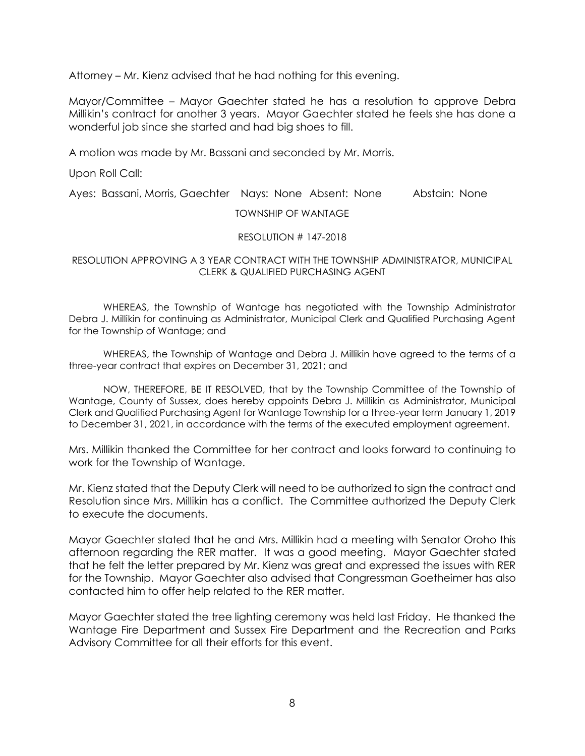Attorney – Mr. Kienz advised that he had nothing for this evening.

Mayor/Committee – Mayor Gaechter stated he has a resolution to approve Debra Millikin's contract for another 3 years. Mayor Gaechter stated he feels she has done a wonderful job since she started and had big shoes to fill.

A motion was made by Mr. Bassani and seconded by Mr. Morris.

Upon Roll Call:

Ayes: Bassani, Morris, Gaechter Nays: None Absent: None Abstain: None

TOWNSHIP OF WANTAGE

## RESOLUTION # 147-2018

## RESOLUTION APPROVING A 3 YEAR CONTRACT WITH THE TOWNSHIP ADMINISTRATOR, MUNICIPAL CLERK & QUALIFIED PURCHASING AGENT

WHEREAS, the Township of Wantage has negotiated with the Township Administrator Debra J. Millikin for continuing as Administrator, Municipal Clerk and Qualified Purchasing Agent for the Township of Wantage; and

WHEREAS, the Township of Wantage and Debra J. Millikin have agreed to the terms of a three-year contract that expires on December 31, 2021; and

NOW, THEREFORE, BE IT RESOLVED, that by the Township Committee of the Township of Wantage, County of Sussex, does hereby appoints Debra J. Millikin as Administrator, Municipal Clerk and Qualified Purchasing Agent for Wantage Township for a three-year term January 1, 2019 to December 31, 2021, in accordance with the terms of the executed employment agreement.

Mrs. Millikin thanked the Committee for her contract and looks forward to continuing to work for the Township of Wantage.

Mr. Kienz stated that the Deputy Clerk will need to be authorized to sign the contract and Resolution since Mrs. Millikin has a conflict. The Committee authorized the Deputy Clerk to execute the documents.

Mayor Gaechter stated that he and Mrs. Millikin had a meeting with Senator Oroho this afternoon regarding the RER matter. It was a good meeting. Mayor Gaechter stated that he felt the letter prepared by Mr. Kienz was great and expressed the issues with RER for the Township. Mayor Gaechter also advised that Congressman Goetheimer has also contacted him to offer help related to the RER matter.

Mayor Gaechter stated the tree lighting ceremony was held last Friday. He thanked the Wantage Fire Department and Sussex Fire Department and the Recreation and Parks Advisory Committee for all their efforts for this event.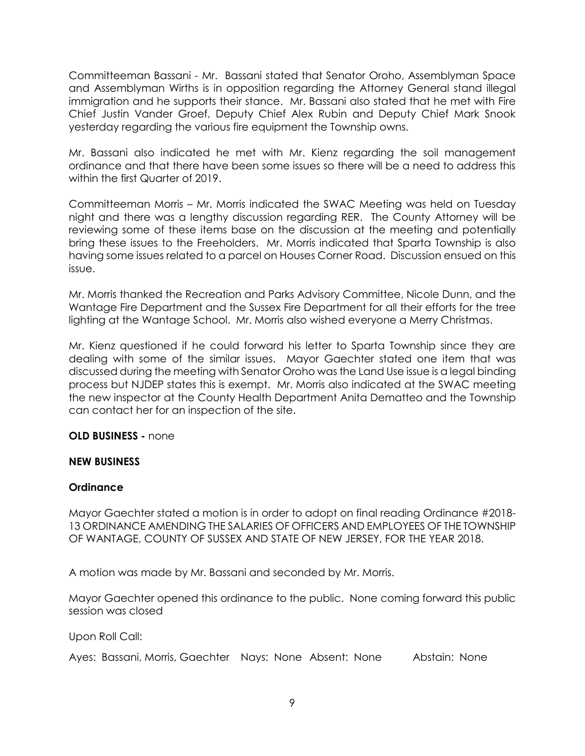Committeeman Bassani - Mr. Bassani stated that Senator Oroho, Assemblyman Space and Assemblyman Wirths is in opposition regarding the Attorney General stand illegal immigration and he supports their stance. Mr. Bassani also stated that he met with Fire Chief Justin Vander Groef, Deputy Chief Alex Rubin and Deputy Chief Mark Snook yesterday regarding the various fire equipment the Township owns.

Mr. Bassani also indicated he met with Mr. Kienz regarding the soil management ordinance and that there have been some issues so there will be a need to address this within the first Quarter of 2019.

Committeeman Morris – Mr. Morris indicated the SWAC Meeting was held on Tuesday night and there was a lengthy discussion regarding RER. The County Attorney will be reviewing some of these items base on the discussion at the meeting and potentially bring these issues to the Freeholders. Mr. Morris indicated that Sparta Township is also having some issues related to a parcel on Houses Corner Road. Discussion ensued on this issue.

Mr. Morris thanked the Recreation and Parks Advisory Committee, Nicole Dunn, and the Wantage Fire Department and the Sussex Fire Department for all their efforts for the tree lighting at the Wantage School. Mr. Morris also wished everyone a Merry Christmas.

Mr. Kienz questioned if he could forward his letter to Sparta Township since they are dealing with some of the similar issues. Mayor Gaechter stated one item that was discussed during the meeting with Senator Oroho was the Land Use issue is a legal binding process but NJDEP states this is exempt. Mr. Morris also indicated at the SWAC meeting the new inspector at the County Health Department Anita Dematteo and the Township can contact her for an inspection of the site.

# **OLD BUSINESS -** none

## **NEW BUSINESS**

# **Ordinance**

Mayor Gaechter stated a motion is in order to adopt on final reading Ordinance #2018- 13 ORDINANCE AMENDING THE SALARIES OF OFFICERS AND EMPLOYEES OF THE TOWNSHIP OF WANTAGE, COUNTY OF SUSSEX AND STATE OF NEW JERSEY, FOR THE YEAR 2018.

A motion was made by Mr. Bassani and seconded by Mr. Morris.

Mayor Gaechter opened this ordinance to the public. None coming forward this public session was closed

Upon Roll Call:

Ayes: Bassani, Morris, Gaechter Nays: None Absent: None Abstain: None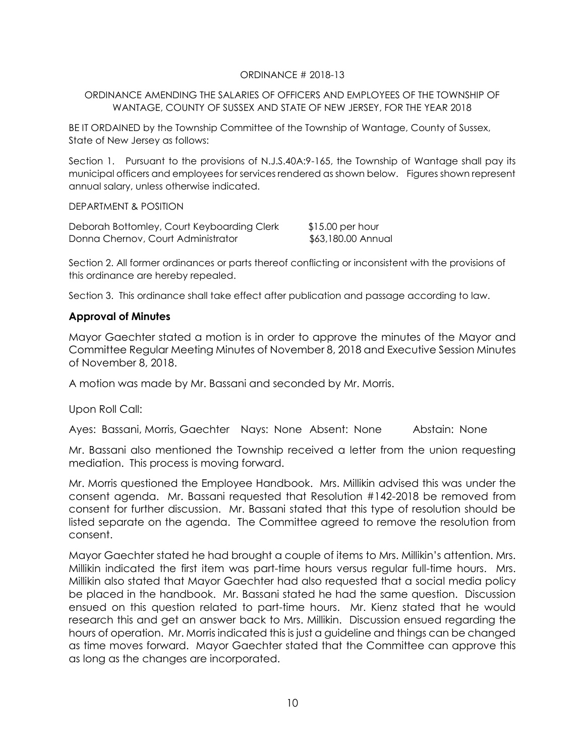## ORDINANCE # 2018-13

## ORDINANCE AMENDING THE SALARIES OF OFFICERS AND EMPLOYEES OF THE TOWNSHIP OF WANTAGE, COUNTY OF SUSSEX AND STATE OF NEW JERSEY, FOR THE YEAR 2018

BE IT ORDAINED by the Township Committee of the Township of Wantage, County of Sussex, State of New Jersey as follows:

Section 1. Pursuant to the provisions of N.J.S.40A:9-165, the Township of Wantage shall pay its municipal officers and employees for services rendered as shown below. Figures shown represent annual salary, unless otherwise indicated.

DEPARTMENT & POSITION

| Deborah Bottomley, Court Keyboarding Clerk | $$15.00$ per hour  |
|--------------------------------------------|--------------------|
| Donna Chernov, Court Administrator         | \$63,180.00 Annual |

Section 2. All former ordinances or parts thereof conflicting or inconsistent with the provisions of this ordinance are hereby repealed.

Section 3. This ordinance shall take effect after publication and passage according to law.

## **Approval of Minutes**

Mayor Gaechter stated a motion is in order to approve the minutes of the Mayor and Committee Regular Meeting Minutes of November 8, 2018 and Executive Session Minutes of November 8, 2018.

A motion was made by Mr. Bassani and seconded by Mr. Morris.

Upon Roll Call:

Ayes: Bassani, Morris, Gaechter Nays: None Absent: None Abstain: None

Mr. Bassani also mentioned the Township received a letter from the union requesting mediation. This process is moving forward.

Mr. Morris questioned the Employee Handbook. Mrs. Millikin advised this was under the consent agenda. Mr. Bassani requested that Resolution #142-2018 be removed from consent for further discussion. Mr. Bassani stated that this type of resolution should be listed separate on the agenda. The Committee agreed to remove the resolution from consent.

Mayor Gaechter stated he had brought a couple of items to Mrs. Millikin's attention. Mrs. Millikin indicated the first item was part-time hours versus regular full-time hours. Mrs. Millikin also stated that Mayor Gaechter had also requested that a social media policy be placed in the handbook. Mr. Bassani stated he had the same question. Discussion ensued on this question related to part-time hours. Mr. Kienz stated that he would research this and get an answer back to Mrs. Millikin. Discussion ensued regarding the hours of operation. Mr. Morris indicated this is just a guideline and things can be changed as time moves forward. Mayor Gaechter stated that the Committee can approve this as long as the changes are incorporated.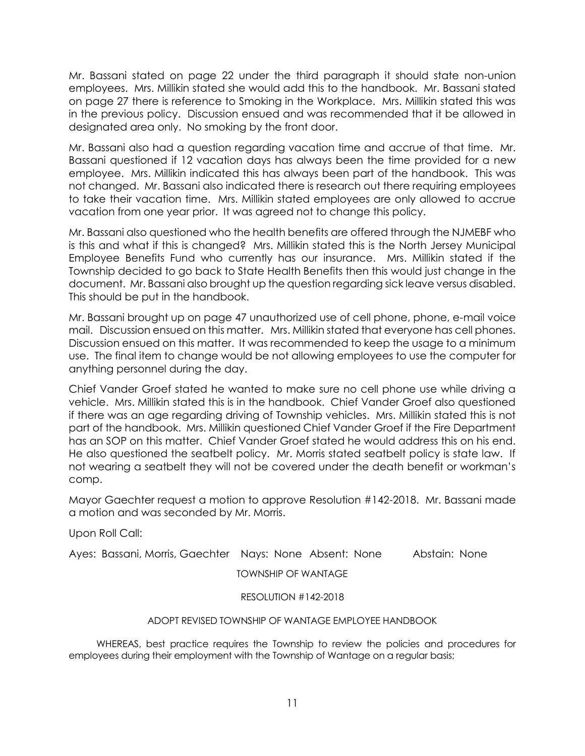Mr. Bassani stated on page 22 under the third paragraph it should state non-union employees. Mrs. Millikin stated she would add this to the handbook. Mr. Bassani stated on page 27 there is reference to Smoking in the Workplace. Mrs. Millikin stated this was in the previous policy. Discussion ensued and was recommended that it be allowed in designated area only. No smoking by the front door.

Mr. Bassani also had a question regarding vacation time and accrue of that time. Mr. Bassani questioned if 12 vacation days has always been the time provided for a new employee. Mrs. Millikin indicated this has always been part of the handbook. This was not changed. Mr. Bassani also indicated there is research out there requiring employees to take their vacation time. Mrs. Millikin stated employees are only allowed to accrue vacation from one year prior. It was agreed not to change this policy.

Mr. Bassani also questioned who the health benefits are offered through the NJMEBF who is this and what if this is changed? Mrs. Millikin stated this is the North Jersey Municipal Employee Benefits Fund who currently has our insurance. Mrs. Millikin stated if the Township decided to go back to State Health Benefits then this would just change in the document. Mr. Bassani also brought up the question regarding sick leave versus disabled. This should be put in the handbook.

Mr. Bassani brought up on page 47 unauthorized use of cell phone, phone, e-mail voice mail. Discussion ensued on this matter. Mrs. Millikin stated that everyone has cell phones. Discussion ensued on this matter. It was recommended to keep the usage to a minimum use. The final item to change would be not allowing employees to use the computer for anything personnel during the day.

Chief Vander Groef stated he wanted to make sure no cell phone use while driving a vehicle. Mrs. Millikin stated this is in the handbook. Chief Vander Groef also questioned if there was an age regarding driving of Township vehicles. Mrs. Millikin stated this is not part of the handbook. Mrs. Millikin questioned Chief Vander Groef if the Fire Department has an SOP on this matter. Chief Vander Groef stated he would address this on his end. He also questioned the seatbelt policy. Mr. Morris stated seatbelt policy is state law. If not wearing a seatbelt they will not be covered under the death benefit or workman's comp.

Mayor Gaechter request a motion to approve Resolution #142-2018. Mr. Bassani made a motion and was seconded by Mr. Morris.

Upon Roll Call:

Ayes: Bassani, Morris, Gaechter Nays: None Absent: None Abstain: None

TOWNSHIP OF WANTAGE

## RESOLUTION #142-2018

## ADOPT REVISED TOWNSHIP OF WANTAGE EMPLOYEE HANDBOOK

 WHEREAS, best practice requires the Township to review the policies and procedures for employees during their employment with the Township of Wantage on a regular basis;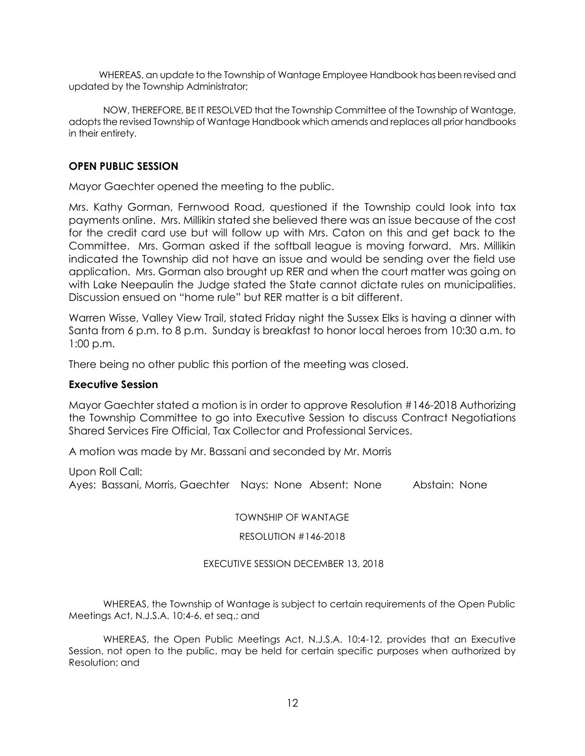WHEREAS, an update to the Township of Wantage Employee Handbook has been revised and updated by the Township Administrator;

NOW, THEREFORE, BE IT RESOLVED that the Township Committee of the Township of Wantage, adopts the revised Township of Wantage Handbook which amends and replaces all prior handbooks in their entirety.

## **OPEN PUBLIC SESSION**

Mayor Gaechter opened the meeting to the public.

Mrs. Kathy Gorman, Fernwood Road, questioned if the Township could look into tax payments online. Mrs. Millikin stated she believed there was an issue because of the cost for the credit card use but will follow up with Mrs. Caton on this and get back to the Committee. Mrs. Gorman asked if the softball league is moving forward. Mrs. Millikin indicated the Township did not have an issue and would be sending over the field use application. Mrs. Gorman also brought up RER and when the court matter was going on with Lake Neepaulin the Judge stated the State cannot dictate rules on municipalities. Discussion ensued on "home rule" but RER matter is a bit different.

Warren Wisse, Valley View Trail, stated Friday night the Sussex Elks is having a dinner with Santa from 6 p.m. to 8 p.m. Sunday is breakfast to honor local heroes from 10:30 a.m. to 1:00 p.m.

There being no other public this portion of the meeting was closed.

## **Executive Session**

Mayor Gaechter stated a motion is in order to approve Resolution #146-2018 Authorizing the Township Committee to go into Executive Session to discuss Contract Negotiations Shared Services Fire Official, Tax Collector and Professional Services.

A motion was made by Mr. Bassani and seconded by Mr. Morris

Upon Roll Call: Ayes: Bassani, Morris, Gaechter Nays: None Absent: None Abstain: None

TOWNSHIP OF WANTAGE

RESOLUTION #146-2018

EXECUTIVE SESSION DECEMBER 13, 2018

WHEREAS, the Township of Wantage is subject to certain requirements of the Open Public Meetings Act, N.J.S.A. 10:4-6, et seq.; and

WHEREAS, the Open Public Meetings Act, N.J.S.A. 10:4-12, provides that an Executive Session, not open to the public, may be held for certain specific purposes when authorized by Resolution; and